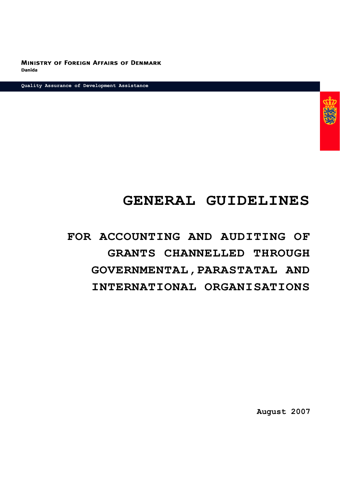**MINISTRY OF FOREIGN AFFAIRS OF DENMARK** Danida

**Quality Assurance of Development Assistance**



## **GENERAL GUIDELINES**

# **FOR ACCOUNTING AND AUDITING OF GRANTS CHANNELLED THROUGH GOVERNMENTAL,PARASTATAL AND INTERNATIONAL ORGANISATIONS**

**August 2007**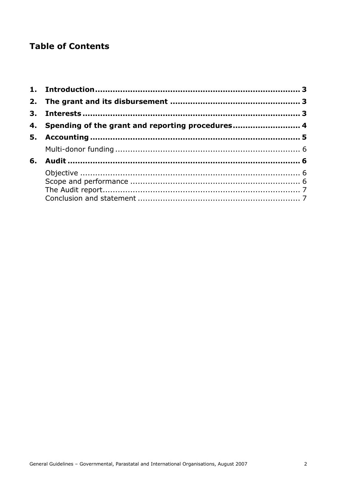## **Table of Contents**

|    | 4. Spending of the grant and reporting procedures |  |
|----|---------------------------------------------------|--|
|    |                                                   |  |
|    |                                                   |  |
| 6. |                                                   |  |
|    |                                                   |  |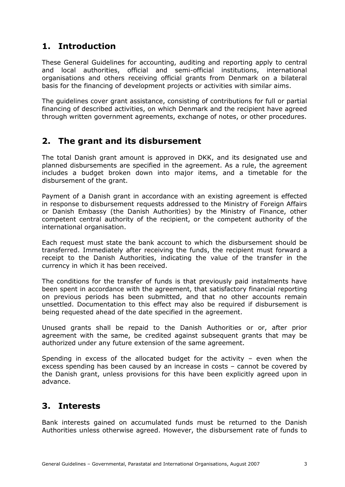## <span id="page-2-0"></span>**1. Introduction**

These General Guidelines for accounting, auditing and reporting apply to central and local authorities, official and semi-official institutions, international organisations and others receiving official grants from Denmark on a bilateral basis for the financing of development projects or activities with similar aims.

The guidelines cover grant assistance, consisting of contributions for full or partial financing of described activities, on which Denmark and the recipient have agreed through written government agreements, exchange of notes, or other procedures.

## <span id="page-2-1"></span>**2. The grant and its disbursement**

The total Danish grant amount is approved in DKK, and its designated use and planned disbursements are specified in the agreement. As a rule, the agreement includes a budget broken down into major items, and a timetable for the disbursement of the grant.

Payment of a Danish grant in accordance with an existing agreement is effected in response to disbursement requests addressed to the Ministry of Foreign Affairs or Danish Embassy (the Danish Authorities) by the Ministry of Finance, other competent central authority of the recipient, or the competent authority of the international organisation.

Each request must state the bank account to which the disbursement should be transferred. Immediately after receiving the funds, the recipient must forward a receipt to the Danish Authorities, indicating the value of the transfer in the currency in which it has been received.

The conditions for the transfer of funds is that previously paid instalments have been spent in accordance with the agreement, that satisfactory financial reporting on previous periods has been submitted, and that no other accounts remain unsettled. Documentation to this effect may also be required if disbursement is being requested ahead of the date specified in the agreement.

Unused grants shall be repaid to the Danish Authorities or or, after prior agreement with the same, be credited against subsequent grants that may be authorized under any future extension of the same agreement.

Spending in excess of the allocated budget for the activity – even when the excess spending has been caused by an increase in costs – cannot be covered by the Danish grant, unless provisions for this have been explicitly agreed upon in advance.

## <span id="page-2-2"></span>**3. Interests**

Bank interests gained on accumulated funds must be returned to the Danish Authorities unless otherwise agreed. However, the disbursement rate of funds to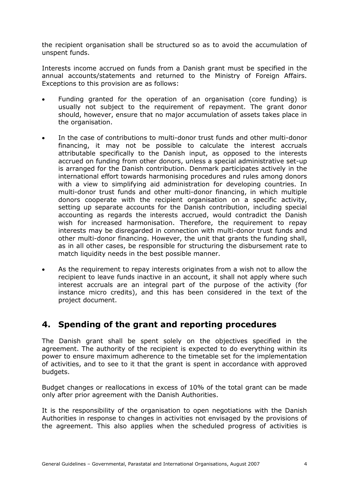the recipient organisation shall be structured so as to avoid the accumulation of unspent funds.

Interests income accrued on funds from a Danish grant must be specified in the annual accounts/statements and returned to the Ministry of Foreign Affairs. Exceptions to this provision are as follows:

- Funding granted for the operation of an organisation (core funding) is usually not subject to the requirement of repayment. The grant donor should, however, ensure that no major accumulation of assets takes place in the organisation.
- In the case of contributions to multi-donor trust funds and other multi-donor financing, it may not be possible to calculate the interest accruals attributable specifically to the Danish input, as opposed to the interests accrued on funding from other donors, unless a special administrative set-up is arranged for the Danish contribution. Denmark participates actively in the international effort towards harmonising procedures and rules among donors with a view to simplifying aid administration for developing countries. In multi-donor trust funds and other multi-donor financing, in which multiple donors cooperate with the recipient organisation on a specific activity, setting up separate accounts for the Danish contribution, including special accounting as regards the interests accrued, would contradict the Danish wish for increased harmonisation. Therefore, the requirement to repay interests may be disregarded in connection with multi-donor trust funds and other multi-donor financing. However, the unit that grants the funding shall, as in all other cases, be responsible for structuring the disbursement rate to match liquidity needs in the best possible manner.
- As the requirement to repay interests originates from a wish not to allow the recipient to leave funds inactive in an account, it shall not apply where such interest accruals are an integral part of the purpose of the activity (for instance micro credits), and this has been considered in the text of the project document.

## <span id="page-3-0"></span>**4. Spending of the grant and reporting procedures**

The Danish grant shall be spent solely on the objectives specified in the agreement. The authority of the recipient is expected to do everything within its power to ensure maximum adherence to the timetable set for the implementation of activities, and to see to it that the grant is spent in accordance with approved budgets.

Budget changes or reallocations in excess of 10% of the total grant can be made only after prior agreement with the Danish Authorities.

It is the responsibility of the organisation to open negotiations with the Danish Authorities in response to changes in activities not envisaged by the provisions of the agreement. This also applies when the scheduled progress of activities is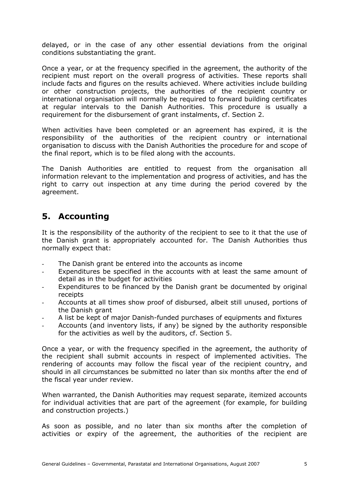delayed, or in the case of any other essential deviations from the original conditions substantiating the grant.

Once a year, or at the frequency specified in the agreement, the authority of the recipient must report on the overall progress of activities. These reports shall include facts and figures on the results achieved. Where activities include building or other construction projects, the authorities of the recipient country or international organisation will normally be required to forward building certificates at regular intervals to the Danish Authorities. This procedure is usually a requirement for the disbursement of grant instalments, cf. Section 2.

When activities have been completed or an agreement has expired, it is the responsibility of the authorities of the recipient country or international organisation to discuss with the Danish Authorities the procedure for and scope of the final report, which is to be filed along with the accounts.

The Danish Authorities are entitled to request from the organisation all information relevant to the implementation and progress of activities, and has the right to carry out inspection at any time during the period covered by the agreement.

## <span id="page-4-0"></span>**5. Accounting**

It is the responsibility of the authority of the recipient to see to it that the use of the Danish grant is appropriately accounted for. The Danish Authorities thus normally expect that:

- The Danish grant be entered into the accounts as income
- Expenditures be specified in the accounts with at least the same amount of detail as in the budget for activities
- Expenditures to be financed by the Danish grant be documented by original receipts
- Accounts at all times show proof of disbursed, albeit still unused, portions of the Danish grant
- A list be kept of major Danish-funded purchases of equipments and fixtures
- Accounts (and inventory lists, if any) be signed by the authority responsible for the activities as well by the auditors, cf. Section 5.

Once a year, or with the frequency specified in the agreement, the authority of the recipient shall submit accounts in respect of implemented activities. The rendering of accounts may follow the fiscal year of the recipient country, and should in all circumstances be submitted no later than six months after the end of the fiscal year under review.

When warranted, the Danish Authorities may request separate, itemized accounts for individual activities that are part of the agreement (for example, for building and construction projects.)

As soon as possible, and no later than six months after the completion of activities or expiry of the agreement, the authorities of the recipient are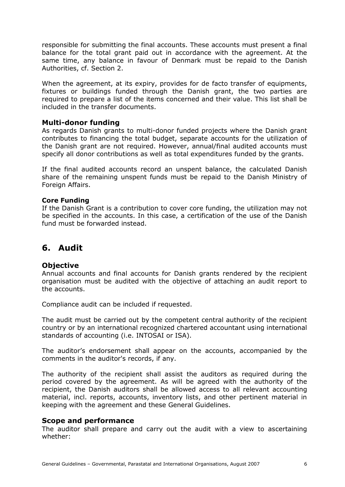responsible for submitting the final accounts. These accounts must present a final balance for the total grant paid out in accordance with the agreement. At the same time, any balance in favour of Denmark must be repaid to the Danish Authorities, cf. Section 2.

When the agreement, at its expiry, provides for de facto transfer of equipments, fixtures or buildings funded through the Danish grant, the two parties are required to prepare a list of the items concerned and their value. This list shall be included in the transfer documents.

#### <span id="page-5-0"></span>**Multi-donor funding**

As regards Danish grants to multi-donor funded projects where the Danish grant contributes to financing the total budget, separate accounts for the utilization of the Danish grant are not required. However, annual/final audited accounts must specify all donor contributions as well as total expenditures funded by the grants.

If the final audited accounts record an unspent balance, the calculated Danish share of the remaining unspent funds must be repaid to the Danish Ministry of Foreign Affairs.

#### **Core Funding**

If the Danish Grant is a contribution to cover core funding, the utilization may not be specified in the accounts. In this case, a certification of the use of the Danish fund must be forwarded instead.

### <span id="page-5-1"></span>**6. Audit**

#### <span id="page-5-2"></span>**Objective**

Annual accounts and final accounts for Danish grants rendered by the recipient organisation must be audited with the objective of attaching an audit report to the accounts.

Compliance audit can be included if requested.

The audit must be carried out by the competent central authority of the recipient country or by an international recognized chartered accountant using international standards of accounting (i.e. INTOSAI or ISA).

The auditor's endorsement shall appear on the accounts, accompanied by the comments in the auditor's records, if any.

The authority of the recipient shall assist the auditors as required during the period covered by the agreement. As will be agreed with the authority of the recipient, the Danish auditors shall be allowed access to all relevant accounting material, incl. reports, accounts, inventory lists, and other pertinent material in keeping with the agreement and these General Guidelines.

#### <span id="page-5-3"></span>**Scope and performance**

The auditor shall prepare and carry out the audit with a view to ascertaining whether: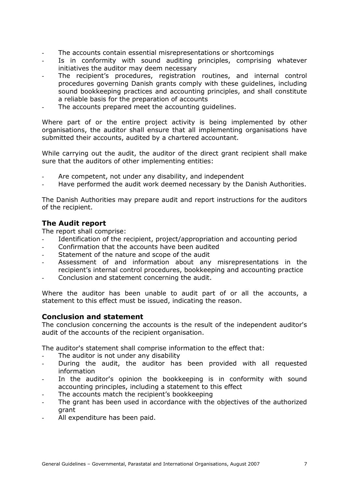- The accounts contain essential misrepresentations or shortcomings
- Is in conformity with sound auditing principles, comprising whatever initiatives the auditor may deem necessary
- The recipient's procedures, registration routines, and internal control procedures governing Danish grants comply with these guidelines, including sound bookkeeping practices and accounting principles, and shall constitute a reliable basis for the preparation of accounts
- The accounts prepared meet the accounting quidelines.

Where part of or the entire project activity is being implemented by other organisations, the auditor shall ensure that all implementing organisations have submitted their accounts, audited by a chartered accountant.

While carrying out the audit, the auditor of the direct grant recipient shall make sure that the auditors of other implementing entities:

- Are competent, not under any disability, and independent
- Have performed the audit work deemed necessary by the Danish Authorities.

The Danish Authorities may prepare audit and report instructions for the auditors of the recipient.

#### <span id="page-6-0"></span>**The Audit report**

The report shall comprise:

- Identification of the recipient, project/appropriation and accounting period
- Confirmation that the accounts have been audited
- Statement of the nature and scope of the audit
- Assessment of and information about any misrepresentations in the recipient's internal control procedures, bookkeeping and accounting practice
- Conclusion and statement concerning the audit.

Where the auditor has been unable to audit part of or all the accounts, a statement to this effect must be issued, indicating the reason.

#### <span id="page-6-1"></span>**Conclusion and statement**

The conclusion concerning the accounts is the result of the independent auditor's audit of the accounts of the recipient organisation.

The auditor's statement shall comprise information to the effect that:

- The auditor is not under any disability
- During the audit, the auditor has been provided with all requested information
- In the auditor's opinion the bookkeeping is in conformity with sound accounting principles, including a statement to this effect
- The accounts match the recipient's bookkeeping
- The grant has been used in accordance with the objectives of the authorized grant
- All expenditure has been paid.